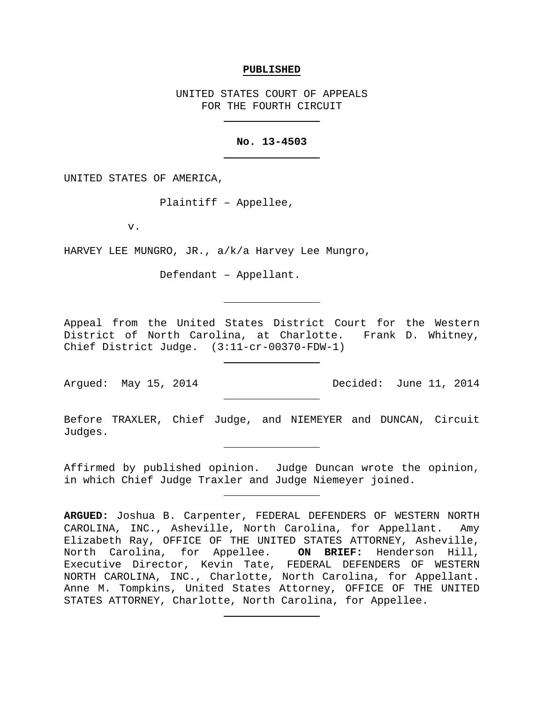### **PUBLISHED**

UNITED STATES COURT OF APPEALS FOR THE FOURTH CIRCUIT

## **No. 13-4503**

UNITED STATES OF AMERICA,

Plaintiff – Appellee,

v.

HARVEY LEE MUNGRO, JR., a/k/a Harvey Lee Mungro,

Defendant – Appellant.

Appeal from the United States District Court for the Western District of North Carolina, at Charlotte. Frank D. Whitney, Chief District Judge. (3:11-cr-00370-FDW-1)

Argued: May 15, 2014 Decided: June 11, 2014

Before TRAXLER, Chief Judge, and NIEMEYER and DUNCAN, Circuit Judges.

Affirmed by published opinion. Judge Duncan wrote the opinion, in which Chief Judge Traxler and Judge Niemeyer joined.

**ARGUED:** Joshua B. Carpenter, FEDERAL DEFENDERS OF WESTERN NORTH CAROLINA, INC., Asheville, North Carolina, for Appellant. Amy Elizabeth Ray, OFFICE OF THE UNITED STATES ATTORNEY, Asheville,<br>North Carolina, for Appellee. **ON BRIEF:** Henderson Hill, North Carolina, for Appellee. Executive Director, Kevin Tate, FEDERAL DEFENDERS OF WESTERN NORTH CAROLINA, INC., Charlotte, North Carolina, for Appellant. Anne M. Tompkins, United States Attorney, OFFICE OF THE UNITED STATES ATTORNEY, Charlotte, North Carolina, for Appellee.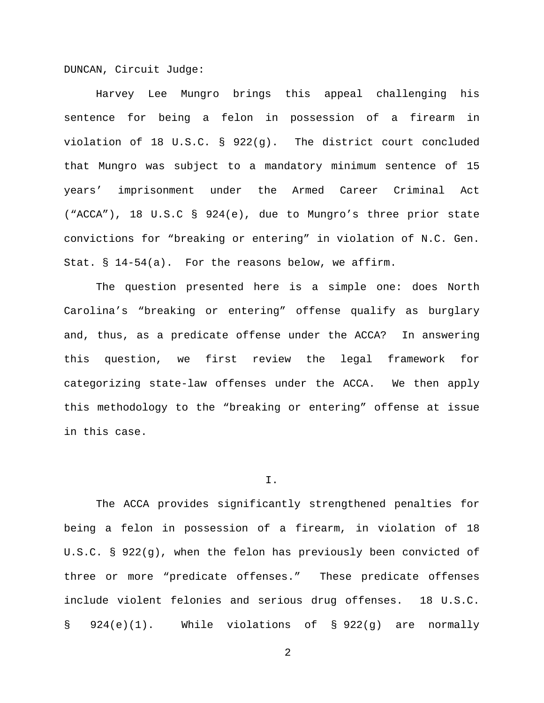DUNCAN, Circuit Judge:

Harvey Lee Mungro brings this appeal challenging his sentence for being a felon in possession of a firearm in violation of 18 U.S.C. § 922(g). The district court concluded that Mungro was subject to a mandatory minimum sentence of 15 years' imprisonment under the Armed Career Criminal Act ("ACCA"), 18 U.S.C § 924(e), due to Mungro's three prior state convictions for "breaking or entering" in violation of N.C. Gen. Stat. § 14-54(a). For the reasons below, we affirm.

The question presented here is a simple one: does North Carolina's "breaking or entering" offense qualify as burglary and, thus, as a predicate offense under the ACCA? In answering this question, we first review the legal framework for categorizing state-law offenses under the ACCA. We then apply this methodology to the "breaking or entering" offense at issue in this case.

#### I.

The ACCA provides significantly strengthened penalties for being a felon in possession of a firearm, in violation of 18 U.S.C. § 922(g), when the felon has previously been convicted of three or more "predicate offenses." These predicate offenses include violent felonies and serious drug offenses. 18 U.S.C. § 924(e)(1). While violations of § 922(g) are normally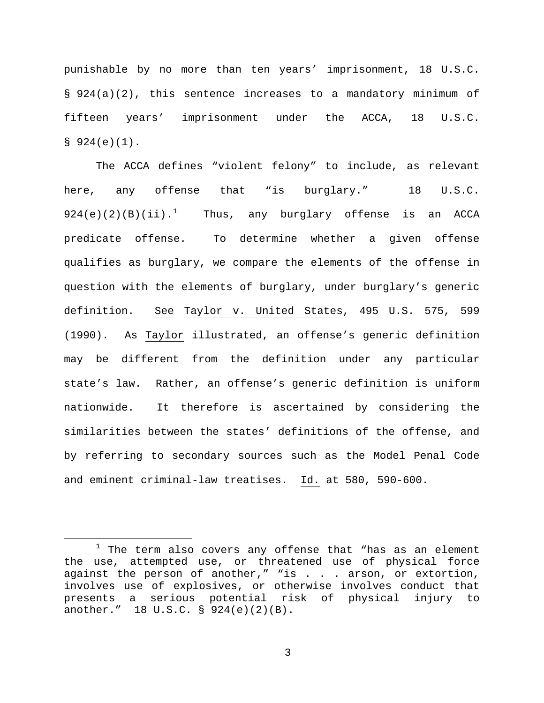punishable by no more than ten years' imprisonment, 18 U.S.C. § 924(a)(2), this sentence increases to a mandatory minimum of fifteen years' imprisonment under the ACCA, 18 U.S.C.  $$924(e)(1)$ .

The ACCA defines "violent felony" to include, as relevant here, any offense that "is burglary." 18 U.S.C.  $924(e)(2)(B)(ii).$ <sup>[1](#page-2-0)</sup> Thus, any burglary offense is an ACCA predicate offense. To determine whether a given offense qualifies as burglary, we compare the elements of the offense in question with the elements of burglary, under burglary's generic definition. See Taylor v. United States, 495 U.S. 575, 599 (1990). As Taylor illustrated, an offense's generic definition may be different from the definition under any particular state's law. Rather, an offense's generic definition is uniform nationwide. It therefore is ascertained by considering the similarities between the states' definitions of the offense, and by referring to secondary sources such as the Model Penal Code and eminent criminal-law treatises. Id. at 580, 590-600.

 $\overline{a}$ 

<span id="page-2-0"></span> $1$  The term also covers any offense that "has as an element the use, attempted use, or threatened use of physical force against the person of another," "is . . . arson, or extortion, involves use of explosives, or otherwise involves conduct that presents a serious potential risk of physical injury to another." 18 U.S.C. § 924(e)(2)(B).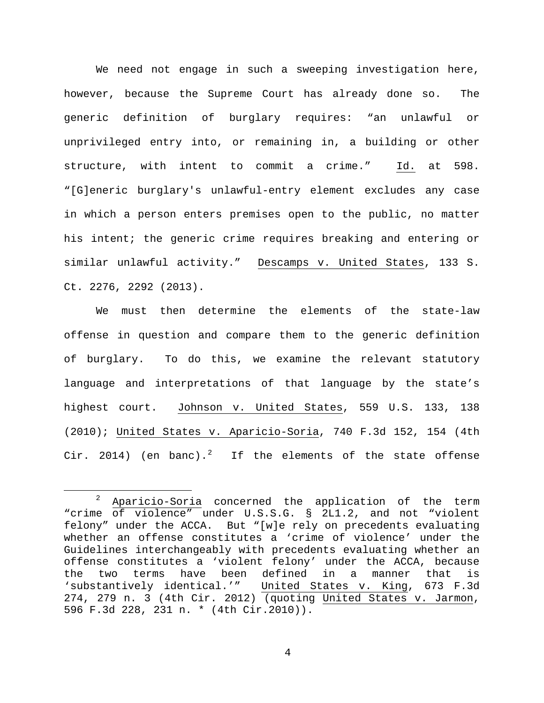We need not engage in such a sweeping investigation here, however, because the Supreme Court has already done so. The generic definition of burglary requires: "an unlawful or unprivileged entry into, or remaining in, a building or other structure, with intent to commit a crime." Id. at 598. "[G]eneric burglary's unlawful-entry element excludes any case in which a person enters premises open to the public, no matter his intent; the generic crime requires breaking and entering or similar unlawful activity." Descamps v. United States, 133 S. Ct. 2276, 2292 (2013).

We must then determine the elements of the state-law offense in question and compare them to the generic definition of burglary. To do this, we examine the relevant statutory language and interpretations of that language by the state's highest court. Johnson v. United States, 559 U.S. 133, 138 (2010); United States v. Aparicio-Soria, 740 F.3d 152, 154 (4th Cir. [2](#page-3-0)014) (en banc).<sup>2</sup> If the elements of the state offense

 $\overline{a}$ 

<span id="page-3-0"></span> $2$  Aparicio-Soria concerned the application of the term "crime of violence" under U.S.S.G. § 2L1.2, and not "violent felony" under the ACCA. But "[w]e rely on precedents evaluating whether an offense constitutes a 'crime of violence' under the Guidelines interchangeably with precedents evaluating whether an offense constitutes a 'violent felony' under the ACCA, because the two terms have been defined in a manner that is 'substantively identical.'" United States v. King, 673 F.3d 274, 279 n. 3 (4th Cir. 2012) (quoting United States v. Jarmon, 596 F.3d 228, 231 n. \* (4th Cir.2010)).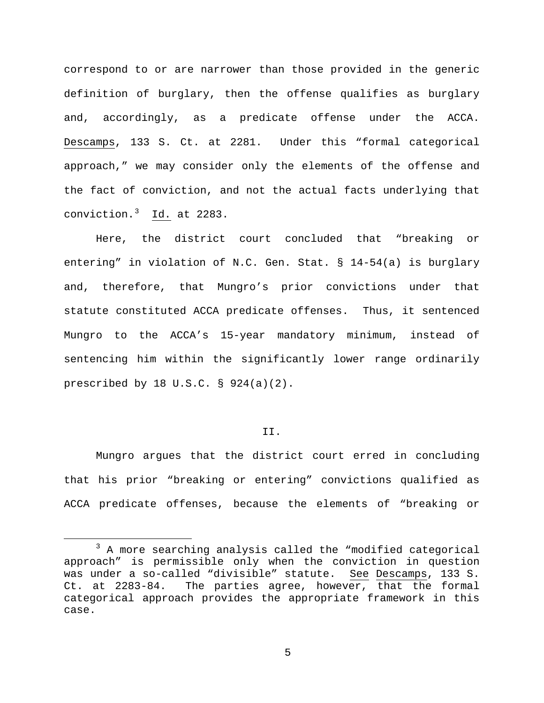correspond to or are narrower than those provided in the generic definition of burglary, then the offense qualifies as burglary and, accordingly, as a predicate offense under the ACCA. Descamps, 133 S. Ct. at 2281. Under this "formal categorical approach," we may consider only the elements of the offense and the fact of conviction, and not the actual facts underlying that conviction.[3](#page-4-0) Id. at 2283.

Here, the district court concluded that "breaking or entering" in violation of N.C. Gen. Stat. § 14-54(a) is burglary and, therefore, that Mungro's prior convictions under that statute constituted ACCA predicate offenses. Thus, it sentenced Mungro to the ACCA's 15-year mandatory minimum, instead of sentencing him within the significantly lower range ordinarily prescribed by 18 U.S.C. § 924(a)(2).

## II.

Mungro argues that the district court erred in concluding that his prior "breaking or entering" convictions qualified as ACCA predicate offenses, because the elements of "breaking or

 $\overline{a}$ 

<span id="page-4-0"></span><sup>&</sup>lt;sup>3</sup> A more searching analysis called the "modified categorical approach" is permissible only when the conviction in question was under a so-called "divisible" statute. See Descamps, 133 S.<br>Ct. at 2283-84. The parties agree, however, that the formal The parties agree, however, that the formal categorical approach provides the appropriate framework in this case.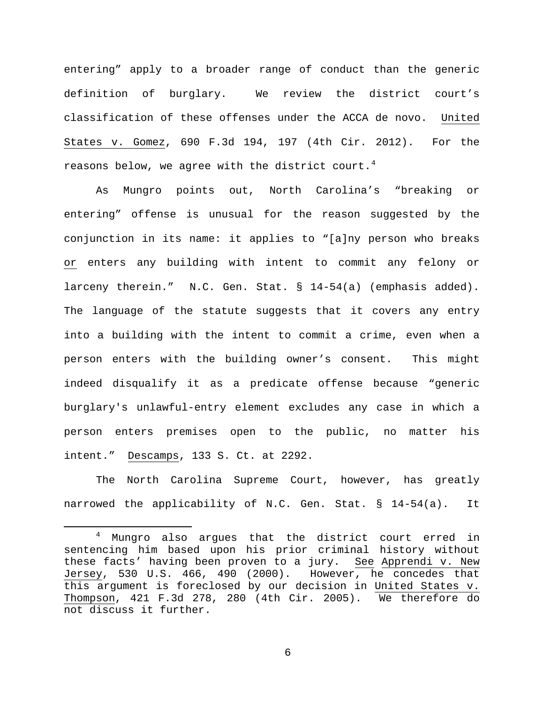entering" apply to a broader range of conduct than the generic definition of burglary. We review the district court's classification of these offenses under the ACCA de novo. United States v. Gomez, 690 F.3d 194, 197 (4th Cir. 2012). For the reasons below, we agree with the district court. $4$ 

As Mungro points out, North Carolina's "breaking or entering" offense is unusual for the reason suggested by the conjunction in its name: it applies to "[a]ny person who breaks or enters any building with intent to commit any felony or larceny therein." N.C. Gen. Stat. § 14-54(a) (emphasis added). The language of the statute suggests that it covers any entry into a building with the intent to commit a crime, even when a person enters with the building owner's consent. This might indeed disqualify it as a predicate offense because "generic burglary's unlawful-entry element excludes any case in which a person enters premises open to the public, no matter his intent." Descamps, 133 S. Ct. at 2292.

The North Carolina Supreme Court, however, has greatly narrowed the applicability of N.C. Gen. Stat. § 14-54(a). It

 $\overline{a}$ 

<span id="page-5-0"></span><sup>4</sup> Mungro also argues that the district court erred in sentencing him based upon his prior criminal history without these facts' having been proven to a jury. See Apprendi v. New Jersey, 530 U.S. 466, 490 (2000). However, he concedes that this argument is foreclosed by our decision in United States v. Thompson, 421 F.3d 278, 280 (4th Cir. 2005). We therefore do not discuss it further.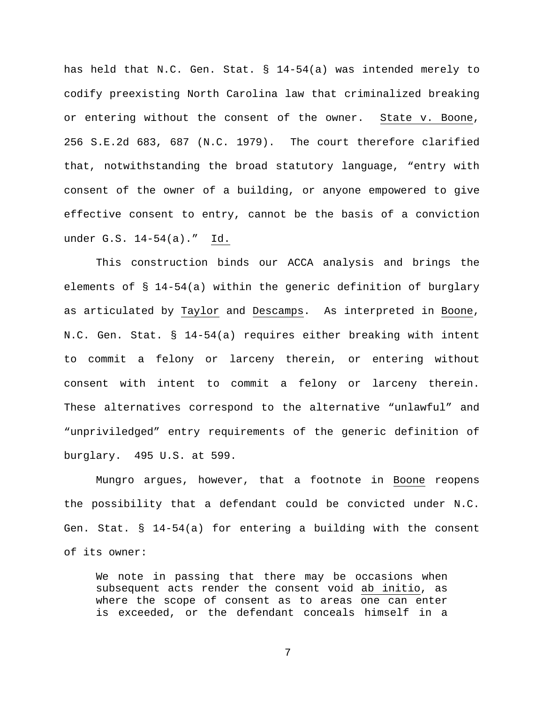has held that N.C. Gen. Stat. § 14-54(a) was intended merely to codify preexisting North Carolina law that criminalized breaking or entering without the consent of the owner. State v. Boone, 256 S.E.2d 683, 687 (N.C. 1979). The court therefore clarified that, notwithstanding the broad statutory language, "entry with consent of the owner of a building, or anyone empowered to give effective consent to entry, cannot be the basis of a conviction under G.S. 14-54(a)." Id.

This construction binds our ACCA analysis and brings the elements of § 14-54(a) within the generic definition of burglary as articulated by Taylor and Descamps. As interpreted in Boone, N.C. Gen. Stat. § 14-54(a) requires either breaking with intent to commit a felony or larceny therein, or entering without consent with intent to commit a felony or larceny therein. These alternatives correspond to the alternative "unlawful" and "unpriviledged" entry requirements of the generic definition of burglary. 495 U.S. at 599.

Mungro argues, however, that a footnote in Boone reopens the possibility that a defendant could be convicted under N.C. Gen. Stat. § 14-54(a) for entering a building with the consent of its owner:

We note in passing that there may be occasions when subsequent acts render the consent void ab initio, as where the scope of consent as to areas one can enter is exceeded, or the defendant conceals himself in a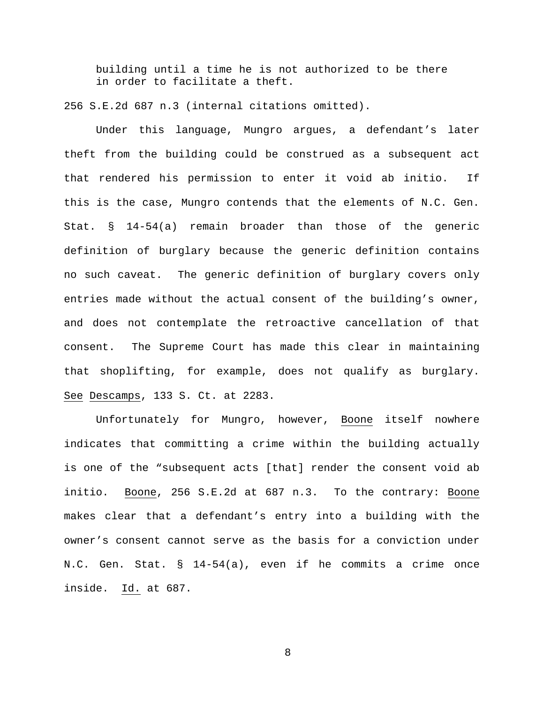building until a time he is not authorized to be there in order to facilitate a theft.

256 S.E.2d 687 n.3 (internal citations omitted).

Under this language, Mungro argues, a defendant's later theft from the building could be construed as a subsequent act that rendered his permission to enter it void ab initio. If this is the case, Mungro contends that the elements of N.C. Gen. Stat. § 14-54(a) remain broader than those of the generic definition of burglary because the generic definition contains no such caveat. The generic definition of burglary covers only entries made without the actual consent of the building's owner, and does not contemplate the retroactive cancellation of that consent. The Supreme Court has made this clear in maintaining that shoplifting, for example, does not qualify as burglary. See Descamps, 133 S. Ct. at 2283.

Unfortunately for Mungro, however, Boone itself nowhere indicates that committing a crime within the building actually is one of the "subsequent acts [that] render the consent void ab initio. Boone, 256 S.E.2d at 687 n.3. To the contrary: Boone makes clear that a defendant's entry into a building with the owner's consent cannot serve as the basis for a conviction under N.C. Gen. Stat. § 14-54(a), even if he commits a crime once inside. Id. at 687.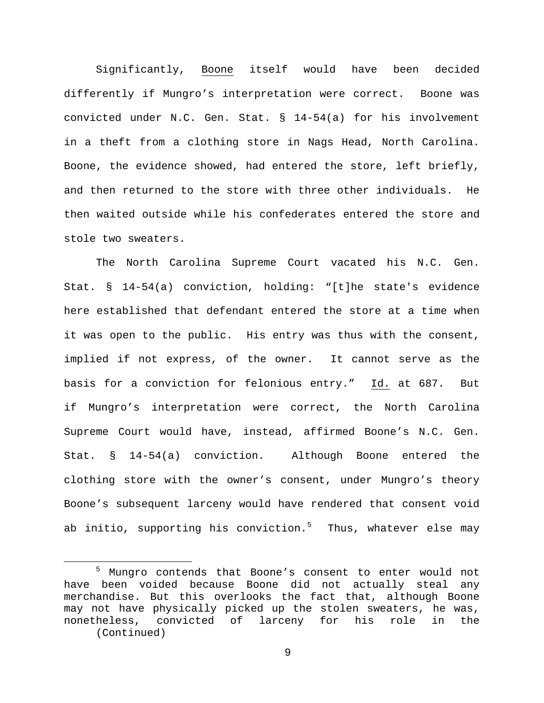Significantly, Boone itself would have been decided differently if Mungro's interpretation were correct. Boone was convicted under N.C. Gen. Stat. § 14-54(a) for his involvement in a theft from a clothing store in Nags Head, North Carolina. Boone, the evidence showed, had entered the store, left briefly, and then returned to the store with three other individuals. He then waited outside while his confederates entered the store and stole two sweaters.

The North Carolina Supreme Court vacated his N.C. Gen. Stat. § 14-54(a) conviction, holding: "[t]he state's evidence here established that defendant entered the store at a time when it was open to the public. His entry was thus with the consent, implied if not express, of the owner. It cannot serve as the basis for a conviction for felonious entry." Id. at 687. But if Mungro's interpretation were correct, the North Carolina Supreme Court would have, instead, affirmed Boone's N.C. Gen. Stat. § 14-54(a) conviction. Although Boone entered the clothing store with the owner's consent, under Mungro's theory Boone's subsequent larceny would have rendered that consent void ab initio, supporting his conviction. $5$  Thus, whatever else may

 $\overline{a}$ 

<span id="page-8-0"></span><sup>5</sup> Mungro contends that Boone's consent to enter would not have been voided because Boone did not actually steal any merchandise. But this overlooks the fact that, although Boone may not have physically picked up the stolen sweaters, he was,<br>nonetheless, convicted of larceny for his role in the nonetheless, convicted of larceny for his (Continued)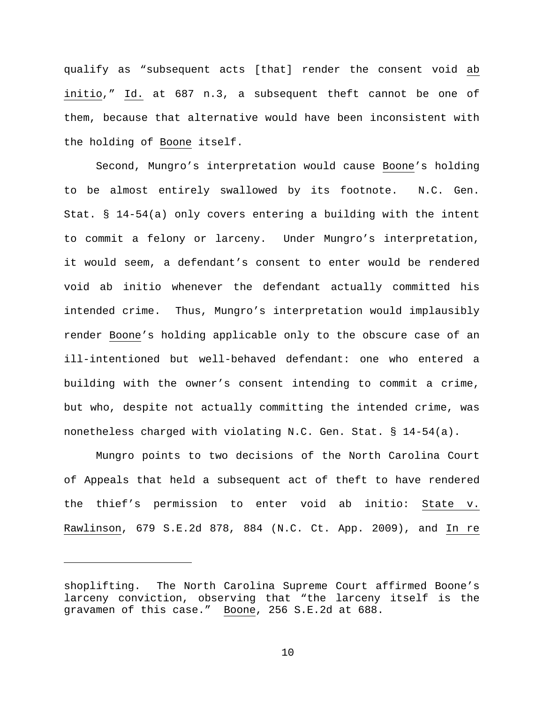qualify as "subsequent acts [that] render the consent void ab initio," Id. at 687 n.3, a subsequent theft cannot be one of them, because that alternative would have been inconsistent with the holding of Boone itself.

Second, Mungro's interpretation would cause Boone's holding to be almost entirely swallowed by its footnote. N.C. Gen. Stat. § 14-54(a) only covers entering a building with the intent to commit a felony or larceny. Under Mungro's interpretation, it would seem, a defendant's consent to enter would be rendered void ab initio whenever the defendant actually committed his intended crime. Thus, Mungro's interpretation would implausibly render Boone's holding applicable only to the obscure case of an ill-intentioned but well-behaved defendant: one who entered a building with the owner's consent intending to commit a crime, but who, despite not actually committing the intended crime, was nonetheless charged with violating N.C. Gen. Stat. § 14-54(a).

Mungro points to two decisions of the North Carolina Court of Appeals that held a subsequent act of theft to have rendered the thief's permission to enter void ab initio: State v. Rawlinson, 679 S.E.2d 878, 884 (N.C. Ct. App. 2009), and In re

 $\overline{a}$ 

shoplifting. The North Carolina Supreme Court affirmed Boone's larceny conviction, observing that "the larceny itself is the gravamen of this case." Boone, 256 S.E.2d at 688.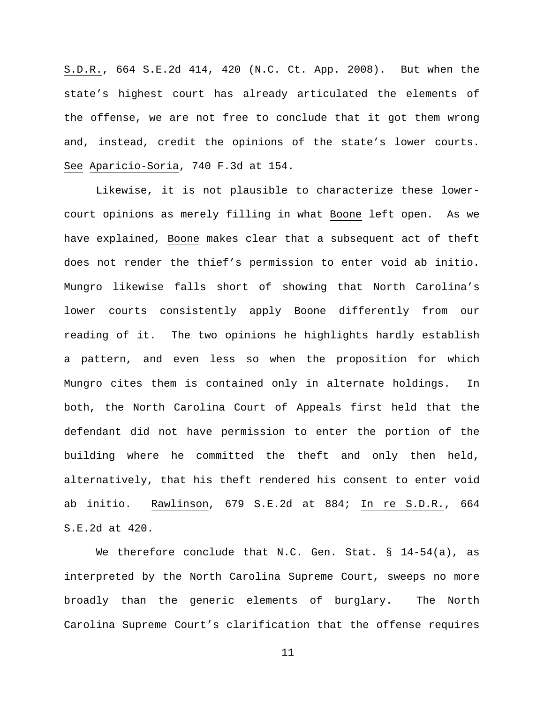S.D.R., 664 S.E.2d 414, 420 (N.C. Ct. App. 2008). But when the state's highest court has already articulated the elements of the offense, we are not free to conclude that it got them wrong and, instead, credit the opinions of the state's lower courts. See Aparicio-Soria, 740 F.3d at 154.

Likewise, it is not plausible to characterize these lowercourt opinions as merely filling in what Boone left open. As we have explained, Boone makes clear that a subsequent act of theft does not render the thief's permission to enter void ab initio. Mungro likewise falls short of showing that North Carolina's lower courts consistently apply Boone differently from our reading of it. The two opinions he highlights hardly establish a pattern, and even less so when the proposition for which Mungro cites them is contained only in alternate holdings. In both, the North Carolina Court of Appeals first held that the defendant did not have permission to enter the portion of the building where he committed the theft and only then held, alternatively, that his theft rendered his consent to enter void ab initio. Rawlinson, 679 S.E.2d at 884; In re S.D.R., 664 S.E.2d at 420.

We therefore conclude that N.C. Gen. Stat. § 14-54(a), as interpreted by the North Carolina Supreme Court, sweeps no more broadly than the generic elements of burglary. The North Carolina Supreme Court's clarification that the offense requires